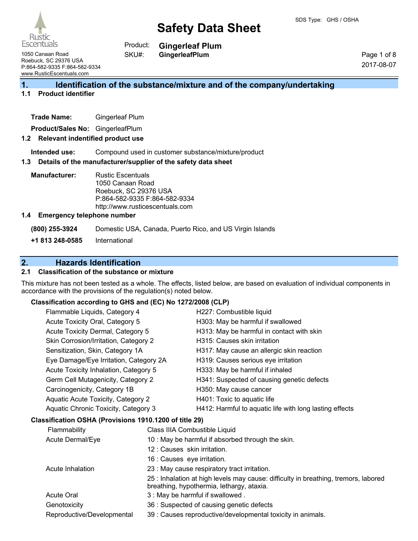

**Gingerleaf Plum** Product:

1050 Canaan Road Roebuck, SC 29376 USA P:864-582-9335 F:864-582-9334 www.RusticEscentuals.com

**GingerleafPlum**

Page 1 of 8 2017-08-07

## **1. Identification of the substance/mixture and of the company/undertaking**

### **1.1 Product identifier**

**Product/Sales No:** GingerleafPlum

#### **1.2 Relevant indentified product use**

**Intended use:** Compound used in customer substance/mixture/product

#### **1.3 Details of the manufacturer/supplier of the safety data sheet**

SKU#:

**Manufacturer:** Rustic Escentuals 1050 Canaan Road Roebuck, SC 29376 USA P:864-582-9335 F:864-582-9334 http://www.rusticescentuals.com

#### **1.4 Emergency telephone number**

**(800) 255-3924** Domestic USA, Canada, Puerto Rico, and US Virgin Islands

**+1 813 248-0585** International

## **2. Hazards Identification**

#### **2.1 Classification of the substance or mixture**

This mixture has not been tested as a whole. The effects, listed below, are based on evaluation of individual components in accordance with the provisions of the regulation(s) noted below.

#### **Classification according to GHS and (EC) No 1272/2008 (CLP)**

| Flammable Liquids, Category 4                          | H227: Combustible liquid                                |
|--------------------------------------------------------|---------------------------------------------------------|
| Acute Toxicity Oral, Category 5                        | H303: May be harmful if swallowed                       |
| Acute Toxicity Dermal, Category 5                      | H313: May be harmful in contact with skin               |
| Skin Corrosion/Irritation, Category 2                  | H315: Causes skin irritation                            |
| Sensitization, Skin, Category 1A                       | H317: May cause an allergic skin reaction               |
| Eye Damage/Eye Irritation, Category 2A                 | H319: Causes serious eye irritation                     |
| Acute Toxicity Inhalation, Category 5                  | H333: May be harmful if inhaled                         |
| Germ Cell Mutagenicity, Category 2                     | H341: Suspected of causing genetic defects              |
| Carcinogenicity, Category 1B                           | H350: May cause cancer                                  |
| Aquatic Acute Toxicity, Category 2                     | H401: Toxic to aquatic life                             |
| Aquatic Chronic Toxicity, Category 3                   | H412: Harmful to aquatic life with long lasting effects |
| Classification OSHA (Provisions 1910.1200 of title 29) |                                                         |
| Flammability                                           | Class IIIA Combustible Liquid                           |
|                                                        |                                                         |

| Acute Dermal/Eye           | 10 : May be harmful if absorbed through the skin.                                                                                |
|----------------------------|----------------------------------------------------------------------------------------------------------------------------------|
|                            | 12 : Causes skin irritation.                                                                                                     |
|                            | 16 : Causes eye irritation.                                                                                                      |
| Acute Inhalation           | 23 : May cause respiratory tract irritation.                                                                                     |
|                            | 25 : Inhalation at high levels may cause: difficulty in breathing, tremors, labored<br>breathing, hypothermia, lethargy, ataxia. |
| Acute Oral                 | 3 : May be harmful if swallowed.                                                                                                 |
| Genotoxicity               | 36 : Suspected of causing genetic defects                                                                                        |
| Reproductive/Developmental | 39 : Causes reproductive/developmental toxicity in animals.                                                                      |
|                            |                                                                                                                                  |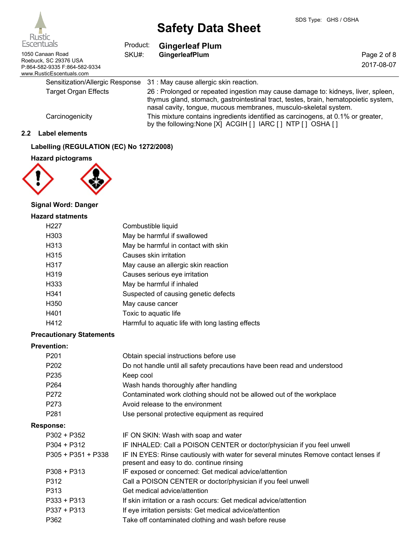| Escentuals<br>Product:                                                                                 |       | <b>Gingerleaf Plum</b>                                                                                                                                                                                                                                                                                                                                                                         |                           |  |
|--------------------------------------------------------------------------------------------------------|-------|------------------------------------------------------------------------------------------------------------------------------------------------------------------------------------------------------------------------------------------------------------------------------------------------------------------------------------------------------------------------------------------------|---------------------------|--|
| 1050 Canaan Road<br>Roebuck, SC 29376 USA<br>P:864-582-9335 F:864-582-9334<br>www.RusticEscentuals.com | SKU#: | GingerleafPlum                                                                                                                                                                                                                                                                                                                                                                                 | Page 2 of 8<br>2017-08-07 |  |
| Sensitization/Allergic Response                                                                        |       | 31 : May cause allergic skin reaction.                                                                                                                                                                                                                                                                                                                                                         |                           |  |
| <b>Target Organ Effects</b>                                                                            |       | 26 : Prolonged or repeated ingestion may cause damage to: kidneys, liver, spleen,<br>thymus gland, stomach, gastrointestinal tract, testes, brain, hematopoietic system,<br>nasal cavity, tongue, mucous membranes, musculo-skeletal system.<br>This mixture contains ingredients identified as carcinogens, at 0.1% or greater,<br>by the following: None [X] ACGIH [] IARC [] NTP [] OSHA [] |                           |  |
| Carcinogenicity                                                                                        |       |                                                                                                                                                                                                                                                                                                                                                                                                |                           |  |

### **2.2 Label elements**

### **Labelling (REGULATION (EC) No 1272/2008)**

## **Hazard pictograms**



## **Signal Word: Danger**

#### **Hazard statments**

| H <sub>227</sub> | Combustible liquid                                |
|------------------|---------------------------------------------------|
| H303             | May be harmful if swallowed                       |
| H313             | May be harmful in contact with skin               |
| H315             | Causes skin irritation                            |
| H317             | May cause an allergic skin reaction               |
| H319             | Causes serious eye irritation                     |
| H333             | May be harmful if inhaled                         |
| H341             | Suspected of causing genetic defects              |
| H350             | May cause cancer                                  |
| H401             | Toxic to aquatic life                             |
| H412             | Harmful to aquatic life with long lasting effects |

#### **Precautionary Statements**

#### **Prevention:**

| LIGAGIILIOII.        |                                                                                                                                  |
|----------------------|----------------------------------------------------------------------------------------------------------------------------------|
| P <sub>201</sub>     | Obtain special instructions before use                                                                                           |
| P <sub>202</sub>     | Do not handle until all safety precautions have been read and understood                                                         |
| P <sub>235</sub>     | Keep cool                                                                                                                        |
| P <sub>264</sub>     | Wash hands thoroughly after handling                                                                                             |
| P272                 | Contaminated work clothing should not be allowed out of the workplace                                                            |
| P273                 | Avoid release to the environment                                                                                                 |
| P <sub>281</sub>     | Use personal protective equipment as required                                                                                    |
| Response:            |                                                                                                                                  |
| P302 + P352          | IF ON SKIN: Wash with soap and water                                                                                             |
| P304 + P312          | IF INHALED: Call a POISON CENTER or doctor/physician if you feel unwell                                                          |
| $P305 + P351 + P338$ | IF IN EYES: Rinse cautiously with water for several minutes Remove contact lenses if<br>present and easy to do. continue rinsing |
| $P308 + P313$        | IF exposed or concerned: Get medical advice/attention                                                                            |
| P312                 | Call a POISON CENTER or doctor/physician if you feel unwell                                                                      |
| P313                 | Get medical advice/attention                                                                                                     |
| $P333 + P313$        | If skin irritation or a rash occurs: Get medical advice/attention                                                                |
| $P337 + P313$        | If eye irritation persists: Get medical advice/attention                                                                         |
| P362                 | Take off contaminated clothing and wash before reuse                                                                             |
|                      |                                                                                                                                  |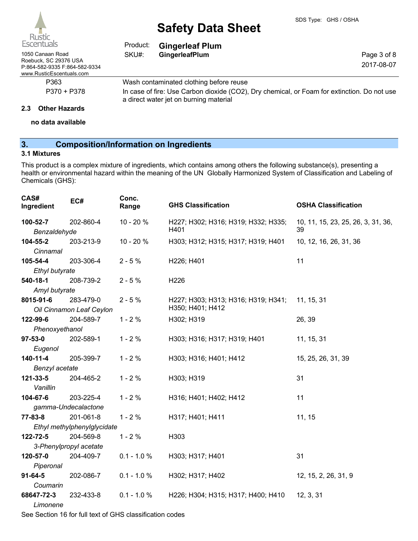| Escentuals                                                                         | Product:                                                                                                                              | <b>Gingerleaf Plum</b>                  |             |
|------------------------------------------------------------------------------------|---------------------------------------------------------------------------------------------------------------------------------------|-----------------------------------------|-------------|
| 1050 Canaan Road                                                                   | SKU#:                                                                                                                                 | GingerleafPlum                          | Page 3 of 8 |
| Roebuck, SC 29376 USA<br>P:864-582-9335 F:864-582-9334<br>www.RusticEscentuals.com |                                                                                                                                       |                                         | 2017-08-07  |
| P363                                                                               |                                                                                                                                       | Wash contaminated clothing before reuse |             |
| P370 + P378                                                                        | In case of fire: Use Carbon dioxide (CO2), Dry chemical, or Foam for extinction. Do not use<br>a direct water jet on burning material |                                         |             |

#### **2.3 Other Hazards**

**no data available**

## **3. Composition/Information on Ingredients**

### **3.1 Mixtures**

This product is a complex mixture of ingredients, which contains among others the following substance(s), presenting a health or environmental hazard within the meaning of the UN Globally Harmonized System of Classification and Labeling of Chemicals (GHS):

| CAS#<br>Ingredient               | EC#                                      | Conc.<br>Range | <b>GHS Classification</b>                               | <b>OSHA Classification</b>               |
|----------------------------------|------------------------------------------|----------------|---------------------------------------------------------|------------------------------------------|
| 100-52-7<br>Benzaldehyde         | 202-860-4                                | 10 - 20 %      | H227; H302; H316; H319; H332; H335;<br>H401             | 10, 11, 15, 23, 25, 26, 3, 31, 36,<br>39 |
| 104-55-2<br>Cinnamal             | 203-213-9                                | 10 - 20 %      | H303; H312; H315; H317; H319; H401                      | 10, 12, 16, 26, 31, 36                   |
| 105-54-4<br>Ethyl butyrate       | 203-306-4                                | $2 - 5%$       | H226; H401                                              | 11                                       |
| 540-18-1<br>Amyl butyrate        | 208-739-2                                | $2 - 5%$       | H226                                                    |                                          |
| 8015-91-6                        | 283-479-0<br>Oil Cinnamon Leaf Ceylon    | $2 - 5%$       | H227; H303; H313; H316; H319; H341;<br>H350; H401; H412 | 11, 15, 31                               |
| 122-99-6<br>Phenoxyethanol       | 204-589-7                                | $1 - 2%$       | H302; H319                                              | 26, 39                                   |
| $97 - 53 - 0$<br>Eugenol         | 202-589-1                                | $1 - 2%$       | H303; H316; H317; H319; H401                            | 11, 15, 31                               |
| $140 - 11 - 4$<br>Benzyl acetate | 205-399-7                                | $1 - 2%$       | H303; H316; H401; H412                                  | 15, 25, 26, 31, 39                       |
| 121-33-5<br>Vanillin             | 204-465-2                                | $1 - 2%$       | H303; H319                                              | 31                                       |
| 104-67-6                         | 203-225-4<br>gamma-Undecalactone         | $1 - 2%$       | H316; H401; H402; H412                                  | 11                                       |
| 77-83-8                          | 201-061-8<br>Ethyl methylphenylglycidate | $1 - 2%$       | H317; H401; H411                                        | 11, 15                                   |
| 122-72-5                         | 204-569-8<br>3-Phenylpropyl acetate      | $1 - 2%$       | H303                                                    |                                          |
| 120-57-0<br>Piperonal            | 204-409-7                                | $0.1 - 1.0 %$  | H303; H317; H401                                        | 31                                       |
| $91 - 64 - 5$<br>Coumarin        | 202-086-7                                | $0.1 - 1.0 %$  | H302; H317; H402                                        | 12, 15, 2, 26, 31, 9                     |
| 68647-72-3<br>Limonene           | 232-433-8                                | $0.1 - 1.0 %$  | H226; H304; H315; H317; H400; H410                      | 12, 3, 31                                |

See Section 16 for full text of GHS classification codes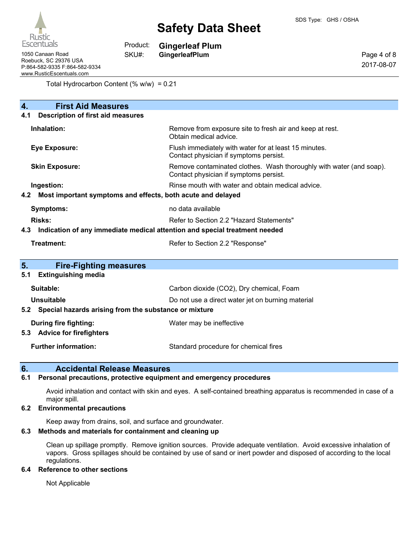

| 1050 Canaan Road              |
|-------------------------------|
| Roebuck. SC 29376 USA         |
| P:864-582-9335 F:864-582-9334 |
| www.RusticEscentuals.com      |

**Gingerleaf Plum** Product:

**GingerleafPlum** SKU#:

Page 4 of 8 2017-08-07

Total Hydrocarbon Content (% w/w) = 0.21

| <b>First Aid Measures</b><br>4.                                                   |                                                                                                               |  |  |
|-----------------------------------------------------------------------------------|---------------------------------------------------------------------------------------------------------------|--|--|
| <b>Description of first aid measures</b><br>4.1                                   |                                                                                                               |  |  |
| Inhalation:                                                                       | Remove from exposure site to fresh air and keep at rest.<br>Obtain medical advice.                            |  |  |
| <b>Eye Exposure:</b>                                                              | Flush immediately with water for at least 15 minutes.<br>Contact physician if symptoms persist.               |  |  |
| <b>Skin Exposure:</b>                                                             | Remove contaminated clothes. Wash thoroughly with water (and soap).<br>Contact physician if symptoms persist. |  |  |
| Ingestion:                                                                        | Rinse mouth with water and obtain medical advice.                                                             |  |  |
| Most important symptoms and effects, both acute and delayed<br>4.2                |                                                                                                               |  |  |
| <b>Symptoms:</b>                                                                  | no data available                                                                                             |  |  |
| Risks:                                                                            | Refer to Section 2.2 "Hazard Statements"                                                                      |  |  |
| Indication of any immediate medical attention and special treatment needed<br>4.3 |                                                                                                               |  |  |
| Treatment:                                                                        | Refer to Section 2.2 "Response"                                                                               |  |  |
| 5.<br><b>Fire-Fighting measures</b>                                               |                                                                                                               |  |  |
| <b>Extinguishing media</b><br>5.1                                                 |                                                                                                               |  |  |
| Suitable:                                                                         | Carbon dioxide (CO2), Dry chemical, Foam                                                                      |  |  |
| <b>Unsuitable</b>                                                                 | Do not use a direct water jet on burning material                                                             |  |  |
| Special hazards arising from the substance or mixture<br>5.2                      |                                                                                                               |  |  |
| During fire fighting:                                                             | Water may be ineffective                                                                                      |  |  |
| <b>Advice for firefighters</b><br>5.3                                             |                                                                                                               |  |  |
| <b>Further information:</b>                                                       | Standard procedure for chemical fires                                                                         |  |  |

## **6. Accidental Release Measures**

#### **6.1 Personal precautions, protective equipment and emergency procedures**

Avoid inhalation and contact with skin and eyes. A self-contained breathing apparatus is recommended in case of a major spill.

#### **6.2 Environmental precautions**

Keep away from drains, soil, and surface and groundwater.

#### **6.3 Methods and materials for containment and cleaning up**

Clean up spillage promptly. Remove ignition sources. Provide adequate ventilation. Avoid excessive inhalation of vapors. Gross spillages should be contained by use of sand or inert powder and disposed of according to the local regulations.

#### **6.4 Reference to other sections**

Not Applicable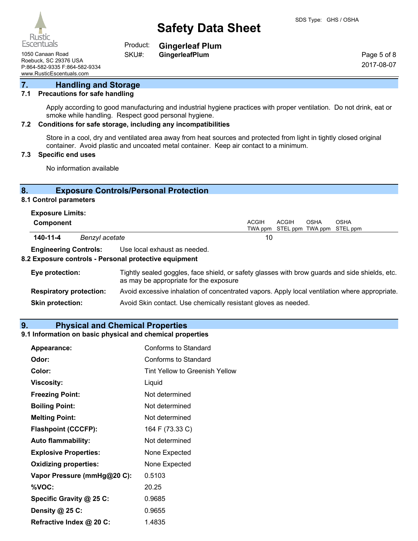Rustic Escentuals

**Gingerleaf Plum** Product:

SKU#:

1050 Canaan Road **GingerleafPlum** Roebuck, SC 29376 USA P:864-582-9335 F:864-582-9334 www.RusticEscentuals.com

Page 5 of 8 2017-08-07

#### **7. Handling and Storage**

#### **7.1 Precautions for safe handling**

Apply according to good manufacturing and industrial hygiene practices with proper ventilation. Do not drink, eat or smoke while handling. Respect good personal hygiene.

#### **7.2 Conditions for safe storage, including any incompatibilities**

Store in a cool, dry and ventilated area away from heat sources and protected from light in tightly closed original container. Avoid plastic and uncoated metal container. Keep air contact to a minimum.

### **7.3 Specific end uses**

No information available

## **8. Exposure Controls/Personal Protection**

## **8.1 Control parameters**

| <b>Exposure Limits:</b> |  |
|-------------------------|--|
|-------------------------|--|

| Component                    |  |                              |  | ACGIH | OSHA | <b>OSHA</b><br>TWA ppm STEL ppm TWA ppm STEL ppm |
|------------------------------|--|------------------------------|--|-------|------|--------------------------------------------------|
| 140-11-4<br>Benzyl acetate   |  | 10                           |  |       |      |                                                  |
| <b>Engineering Controls:</b> |  | Use local exhaust as needed. |  |       |      |                                                  |

## **8.2 Exposure controls - Personal protective equipment**

| Eye protection:                | Tightly sealed goggles, face shield, or safety glasses with brow guards and side shields, etc.<br>as may be appropriate for the exposure |
|--------------------------------|------------------------------------------------------------------------------------------------------------------------------------------|
| <b>Respiratory protection:</b> | Avoid excessive inhalation of concentrated vapors. Apply local ventilation where appropriate.                                            |
| <b>Skin protection:</b>        | Avoid Skin contact. Use chemically resistant gloves as needed.                                                                           |

#### **9. Physical and Chemical Properties**

#### **9.1 Information on basic physical and chemical properties**

| Appearance:                  | Conforms to Standard           |
|------------------------------|--------------------------------|
| Odor:                        | Conforms to Standard           |
| Color:                       | Tint Yellow to Greenish Yellow |
| <b>Viscosity:</b>            | Liquid                         |
| <b>Freezing Point:</b>       | Not determined                 |
| <b>Boiling Point:</b>        | Not determined                 |
| <b>Melting Point:</b>        | Not determined                 |
| <b>Flashpoint (CCCFP):</b>   | 164 F (73.33 C)                |
| <b>Auto flammability:</b>    | Not determined                 |
| <b>Explosive Properties:</b> | None Expected                  |
| <b>Oxidizing properties:</b> | None Expected                  |
| Vapor Pressure (mmHg@20 C):  | 0.5103                         |
| %VOC:                        | 20.25                          |
| Specific Gravity @ 25 C:     | 0.9685                         |
| Density @ 25 C:              | 0.9655                         |
| Refractive Index @ 20 C:     | 1.4835                         |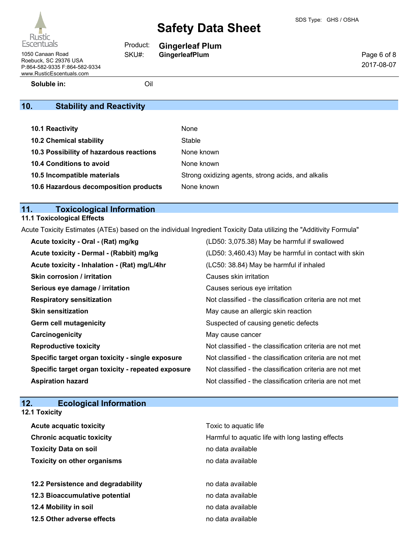1050 Canaan Road **GingerleafPlum** Roebuck, SC 29376 USA P:864-582-9335 F:864-582-9334 www.RusticEscentuals.com

**Gingerleaf Plum**

Page 6 of 8 2017-08-07

**Soluble in:** Oil

Product: SKU#:

## **10. Stability and Reactivity**

| <b>10.1 Reactivity</b>                  | None                                               |
|-----------------------------------------|----------------------------------------------------|
| <b>10.2 Chemical stability</b>          | Stable                                             |
| 10.3 Possibility of hazardous reactions | None known                                         |
| 10.4 Conditions to avoid                | None known                                         |
| 10.5 Incompatible materials             | Strong oxidizing agents, strong acids, and alkalis |
| 10.6 Hazardous decomposition products   | None known                                         |

## **11. Toxicological Information**

## **11.1 Toxicological Effects**

Acute Toxicity Estimates (ATEs) based on the individual Ingredient Toxicity Data utilizing the "Additivity Formula"

| Acute toxicity - Oral - (Rat) mg/kg                | (LD50: 3,075.38) May be harmful if swallowed             |
|----------------------------------------------------|----------------------------------------------------------|
| Acute toxicity - Dermal - (Rabbit) mg/kg           | (LD50: 3,460.43) May be harmful in contact with skin     |
| Acute toxicity - Inhalation - (Rat) mg/L/4hr       | (LC50: 38.84) May be harmful if inhaled                  |
| Skin corrosion / irritation                        | Causes skin irritation                                   |
| Serious eye damage / irritation                    | Causes serious eye irritation                            |
| <b>Respiratory sensitization</b>                   | Not classified - the classification criteria are not met |
| <b>Skin sensitization</b>                          | May cause an allergic skin reaction                      |
| <b>Germ cell mutagenicity</b>                      | Suspected of causing genetic defects                     |
| Carcinogenicity                                    | May cause cancer                                         |
| <b>Reproductive toxicity</b>                       | Not classified - the classification criteria are not met |
| Specific target organ toxicity - single exposure   | Not classified - the classification criteria are not met |
| Specific target organ toxicity - repeated exposure | Not classified - the classification criteria are not met |
| <b>Aspiration hazard</b>                           | Not classified - the classification criteria are not met |

## **12. Ecological Information**

| <b>12.1 Toxicity</b>               |                                                   |
|------------------------------------|---------------------------------------------------|
| <b>Acute acquatic toxicity</b>     | Toxic to aquatic life                             |
| <b>Chronic acquatic toxicity</b>   | Harmful to aquatic life with long lasting effects |
| <b>Toxicity Data on soil</b>       | no data available                                 |
| <b>Toxicity on other organisms</b> | no data available                                 |
| 12.2 Persistence and degradability | no data available                                 |
| 12.3 Bioaccumulative potential     | no data available                                 |
| 12.4 Mobility in soil              | no data available                                 |
| 12.5 Other adverse effects         | no data available                                 |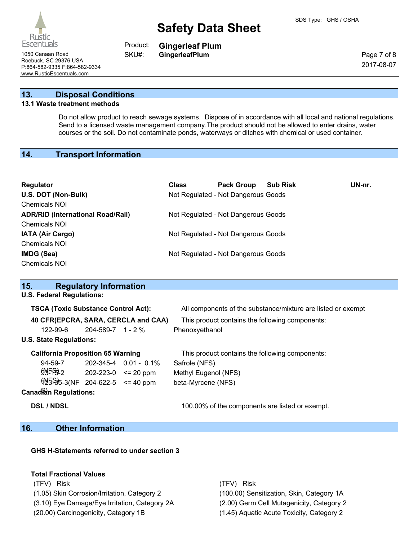Rustic **Escentuals** 

**Gingerleaf Plum** Product:

SKU#:

Page 7 of 8 2017-08-07

1050 Canaan Road **GingerleafPlum** Roebuck, SC 29376 USA P:864-582-9335 F:864-582-9334 www.RusticEscentuals.com

## **13. Disposal Conditions**

#### **13.1 Waste treatment methods**

Do not allow product to reach sewage systems. Dispose of in accordance with all local and national regulations. Send to a licensed waste management company.The product should not be allowed to enter drains, water courses or the soil. Do not contaminate ponds, waterways or ditches with chemical or used container.

#### **14. Transport Information**

| Regulator<br>U.S. DOT (Non-Bulk)<br>Chemicals NOI                | <b>Class</b> | <b>Pack Group</b><br>Not Regulated - Not Dangerous Goods | <b>Sub Risk</b> | UN-nr. |
|------------------------------------------------------------------|--------------|----------------------------------------------------------|-----------------|--------|
| <b>ADR/RID (International Road/Rail)</b><br><b>Chemicals NOI</b> |              | Not Regulated - Not Dangerous Goods                      |                 |        |
| <b>IATA (Air Cargo)</b><br>Chemicals NOI                         |              | Not Regulated - Not Dangerous Goods                      |                 |        |
| IMDG (Sea)<br><b>Chemicals NOI</b>                               |              | Not Regulated - Not Dangerous Goods                      |                 |        |

| <b>Regulatory Information</b><br>15.       |                                    |                             |                                                              |
|--------------------------------------------|------------------------------------|-----------------------------|--------------------------------------------------------------|
| <b>U.S. Federal Regulations:</b>           |                                    |                             |                                                              |
| <b>TSCA (Toxic Substance Control Act):</b> |                                    |                             | All components of the substance/mixture are listed or exempt |
| 40 CFR(EPCRA, SARA, CERCLA and CAA)        |                                    |                             | This product contains the following components:              |
| 122-99-6                                   | $204 - 589 - 7$ 1 - 2 %            |                             | Phenoxyethanol                                               |
| <b>U.S. State Regulations:</b>             |                                    |                             |                                                              |
| <b>California Proposition 65 Warning</b>   |                                    |                             | This product contains the following components:              |
| $94 - 59 - 7$                              |                                    | $202 - 345 - 4$ 0.01 - 0.1% | Safrole (NFS)                                                |
| \$F52                                      | $202 - 223 - 0 \le 20 \text{ ppm}$ |                             | Methyl Eugenol (NFS)                                         |
| $\frac{15}{9}$ 5-3(NF 204-622-5 <= 40 ppm  |                                    |                             | beta-Myrcene (NFS)                                           |
| <b>Canadian Regulations:</b>               |                                    |                             |                                                              |

**DSL / NDSL** 100.00% of the components are listed or exempt.

## **16. Other Information**

**GHS H-Statements referred to under section 3**

#### **Total Fractional Values**

(TFV) Risk (TFV) Risk

(1.05) Skin Corrosion/Irritation, Category 2 (100.00) Sensitization, Skin, Category 1A (3.10) Eye Damage/Eye Irritation, Category 2A (2.00) Germ Cell Mutagenicity, Category 2 (20.00) Carcinogenicity, Category 1B (1.45) Aquatic Acute Toxicity, Category 2